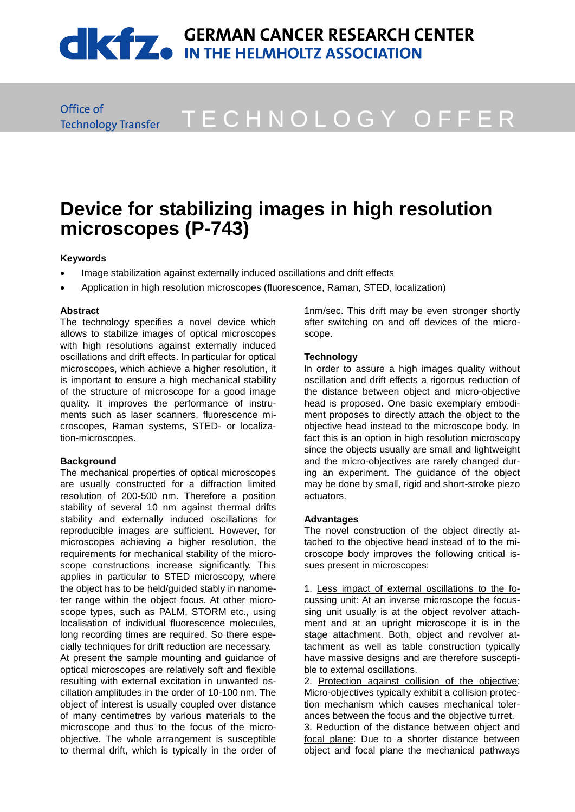# **CONTRACT CONTRACT SERMAN CANCER RESEARCH CENTER**

Office of **Technology Transfer** 

## T E C H N O L O G Y O F F E R

### **Device for stabilizing images in high resolution microscopes (P-743)**

#### **Keywords**

- Image stabilization against externally induced oscillations and drift effects
- Application in high resolution microscopes (fluorescence, Raman, STED, localization)

#### **Abstract**

The technology specifies a novel device which allows to stabilize images of optical microscopes with high resolutions against externally induced oscillations and drift effects. In particular for optical microscopes, which achieve a higher resolution, it is important to ensure a high mechanical stability of the structure of microscope for a good image quality. It improves the performance of instruments such as laser scanners, fluorescence microscopes, Raman systems, STED- or localization-microscopes.

#### **Background**

The mechanical properties of optical microscopes are usually constructed for a diffraction limited resolution of 200-500 nm. Therefore a position stability of several 10 nm against thermal drifts stability and externally induced oscillations for reproducible images are sufficient. However, for microscopes achieving a higher resolution, the requirements for mechanical stability of the microscope constructions increase significantly. This applies in particular to STED microscopy, where the object has to be held/guided stably in nanometer range within the object focus. At other microscope types, such as PALM, STORM etc., using localisation of individual fluorescence molecules, long recording times are required. So there especially techniques for drift reduction are necessary.

At present the sample mounting and guidance of optical microscopes are relatively soft and flexible resulting with external excitation in unwanted oscillation amplitudes in the order of 10-100 nm. The object of interest is usually coupled over distance of many centimetres by various materials to the microscope and thus to the focus of the microobjective. The whole arrangement is susceptible to thermal drift, which is typically in the order of

1nm/sec. This drift may be even stronger shortly after switching on and off devices of the microscope.

#### **Technology**

In order to assure a high images quality without oscillation and drift effects a rigorous reduction of the distance between object and micro-objective head is proposed. One basic exemplary embodiment proposes to directly attach the object to the objective head instead to the microscope body. In fact this is an option in high resolution microscopy since the objects usually are small and lightweight and the micro-objectives are rarely changed during an experiment. The guidance of the object may be done by small, rigid and short-stroke piezo actuators.

#### **Advantages**

The novel construction of the object directly attached to the objective head instead of to the microscope body improves the following critical issues present in microscopes:

1. Less impact of external oscillations to the focussing unit: At an inverse microscope the focussing unit usually is at the object revolver attachment and at an upright microscope it is in the stage attachment. Both, object and revolver attachment as well as table construction typically have massive designs and are therefore susceptible to external oscillations.

2. Protection against collision of the objective: Micro-objectives typically exhibit a collision protection mechanism which causes mechanical tolerances between the focus and the objective turret.

3. Reduction of the distance between object and focal plane: Due to a shorter distance between object and focal plane the mechanical pathways